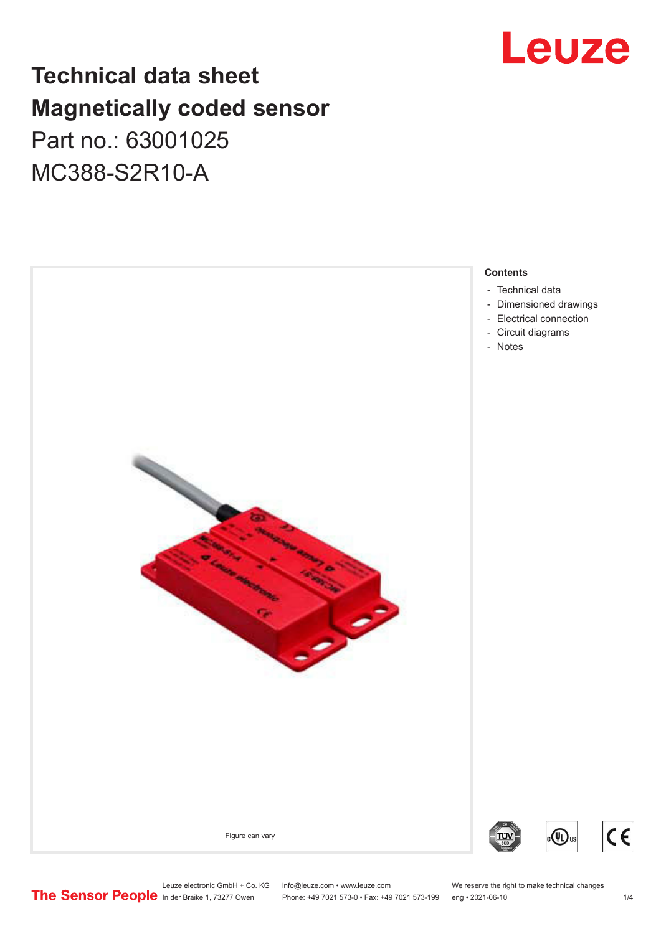## Leuze

## **Technical data sheet Magnetically coded sensor** Part no.: 63001025 MC388-S2R10-A



## **Contents**

- [Technical data](#page-1-0)
- [Dimensioned drawings](#page-2-0)
- [Electrical connection](#page-2-0)
- [Circuit diagrams](#page-2-0)

(VL)

Leuze electronic GmbH + Co. KG info@leuze.com • www.leuze.com We reserve the right to make technical changes<br>
The Sensor People in der Braike 1, 73277 Owen Phone: +49 7021 573-0 • Fax: +49 7021 573-199 eng • 2021-06-10

Phone: +49 7021 573-0 • Fax: +49 7021 573-199 eng • 2021-06-10

 $C<sub>6</sub>$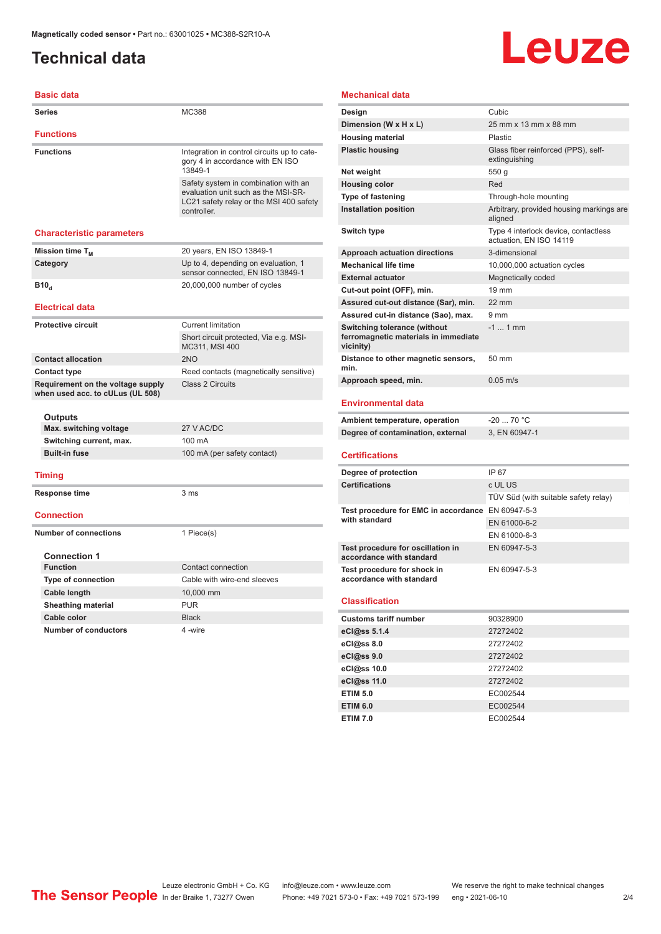## <span id="page-1-0"></span>**Technical data**

# Leuze

| <b>Basic data</b>                                                     |                                                                                                                                       |
|-----------------------------------------------------------------------|---------------------------------------------------------------------------------------------------------------------------------------|
| <b>Series</b>                                                         | MC388                                                                                                                                 |
| <b>Functions</b>                                                      |                                                                                                                                       |
| <b>Functions</b>                                                      | Integration in control circuits up to cate-<br>gory 4 in accordance with EN ISO<br>13849-1                                            |
|                                                                       | Safety system in combination with an<br>evaluation unit such as the MSI-SR-<br>LC21 safety relay or the MSI 400 safety<br>controller. |
| <b>Characteristic parameters</b>                                      |                                                                                                                                       |
| Mission time T <sub>M</sub>                                           | 20 years, EN ISO 13849-1                                                                                                              |
| Category                                                              | Up to 4, depending on evaluation, 1<br>sensor connected, EN ISO 13849-1                                                               |
| B10 <sub>d</sub>                                                      | 20,000,000 number of cycles                                                                                                           |
| <b>Electrical data</b>                                                |                                                                                                                                       |
| <b>Protective circuit</b>                                             | <b>Current limitation</b>                                                                                                             |
|                                                                       | Short circuit protected, Via e.g. MSI-<br>MC311, MSI 400                                                                              |
| <b>Contact allocation</b>                                             | 2NO                                                                                                                                   |
| <b>Contact type</b>                                                   | Reed contacts (magnetically sensitive)                                                                                                |
| Requirement on the voltage supply<br>when used acc. to cULus (UL 508) | <b>Class 2 Circuits</b>                                                                                                               |
| Outputs                                                               |                                                                                                                                       |
| Max. switching voltage                                                | 27 V AC/DC                                                                                                                            |
| Switching current, max.                                               | 100 mA                                                                                                                                |
| <b>Built-in fuse</b>                                                  | 100 mA (per safety contact)                                                                                                           |
| <b>Timing</b>                                                         |                                                                                                                                       |
| Response time                                                         | 3 ms                                                                                                                                  |
| <b>Connection</b>                                                     |                                                                                                                                       |
| <b>Number of connections</b>                                          | 1 Piece(s)                                                                                                                            |
| <b>Connection 1</b>                                                   |                                                                                                                                       |
| <b>Function</b>                                                       | Contact connection                                                                                                                    |
| <b>Type of connection</b>                                             | Cable with wire-end sleeves                                                                                                           |
| Cable length                                                          | 10,000 mm                                                                                                                             |
| <b>Sheathing material</b>                                             | <b>PUR</b>                                                                                                                            |
| Cable color                                                           | <b>Black</b>                                                                                                                          |
| <b>Number of conductors</b>                                           | 4 -wire                                                                                                                               |

#### **Mechanical data**

| Design                                                                            | Cubic                                                           |
|-----------------------------------------------------------------------------------|-----------------------------------------------------------------|
| Dimension (W x H x L)                                                             | 25 mm x 13 mm x 88 mm                                           |
| <b>Housing material</b>                                                           | Plastic                                                         |
| <b>Plastic housing</b>                                                            | Glass fiber reinforced (PPS), self-<br>extinguishing            |
| Net weight                                                                        | 550 g                                                           |
| <b>Housing color</b>                                                              | Red                                                             |
| <b>Type of fastening</b>                                                          | Through-hole mounting                                           |
| <b>Installation position</b>                                                      | Arbitrary, provided housing markings are<br>aligned             |
| Switch type                                                                       | Type 4 interlock device, contactless<br>actuation, EN ISO 14119 |
| <b>Approach actuation directions</b>                                              | 3-dimensional                                                   |
| <b>Mechanical life time</b>                                                       | 10,000,000 actuation cycles                                     |
| <b>External actuator</b>                                                          | Magnetically coded                                              |
| Cut-out point (OFF), min.                                                         | $19 \text{ mm}$                                                 |
| Assured cut-out distance (Sar), min.                                              | $22 \text{ mm}$                                                 |
| Assured cut-in distance (Sao), max.                                               | 9 <sub>mm</sub>                                                 |
| Switching tolerance (without<br>ferromagnetic materials in immediate<br>vicinity) | $-1$ 1 mm                                                       |
| Distance to other magnetic sensors.<br>min.                                       | $50 \text{ mm}$                                                 |
| Approach speed, min.                                                              | $0.05 \text{ m/s}$                                              |
|                                                                                   |                                                                 |

#### **Environmental data**

| Ambient temperature, operation    | -20  70 °C    |
|-----------------------------------|---------------|
| Degree of contamination, external | 3. EN 60947-1 |

#### **Certifications**

| Degree of protection                                               | IP 67                                |
|--------------------------------------------------------------------|--------------------------------------|
| <b>Certifications</b>                                              | c UL US                              |
|                                                                    | TÜV Süd (with suitable safety relay) |
| Test procedure for EMC in accordance EN 60947-5-3<br>with standard |                                      |
|                                                                    | EN 61000-6-2                         |
|                                                                    | EN 61000-6-3                         |
| Test procedure for oscillation in<br>accordance with standard      | EN 60947-5-3                         |
| Test procedure for shock in<br>accordance with standard            | EN 60947-5-3                         |

#### **Classification**

| <b>Customs tariff number</b> | 90328900 |  |
|------------------------------|----------|--|
| eCl@ss 5.1.4                 | 27272402 |  |
| eCl@ss 8.0                   | 27272402 |  |
| eCl@ss 9.0                   | 27272402 |  |
| eCl@ss 10.0                  | 27272402 |  |
| eCl@ss 11.0                  | 27272402 |  |
| <b>ETIM 5.0</b>              | EC002544 |  |
| <b>ETIM 6.0</b>              | EC002544 |  |
| <b>ETIM 7.0</b>              | EC002544 |  |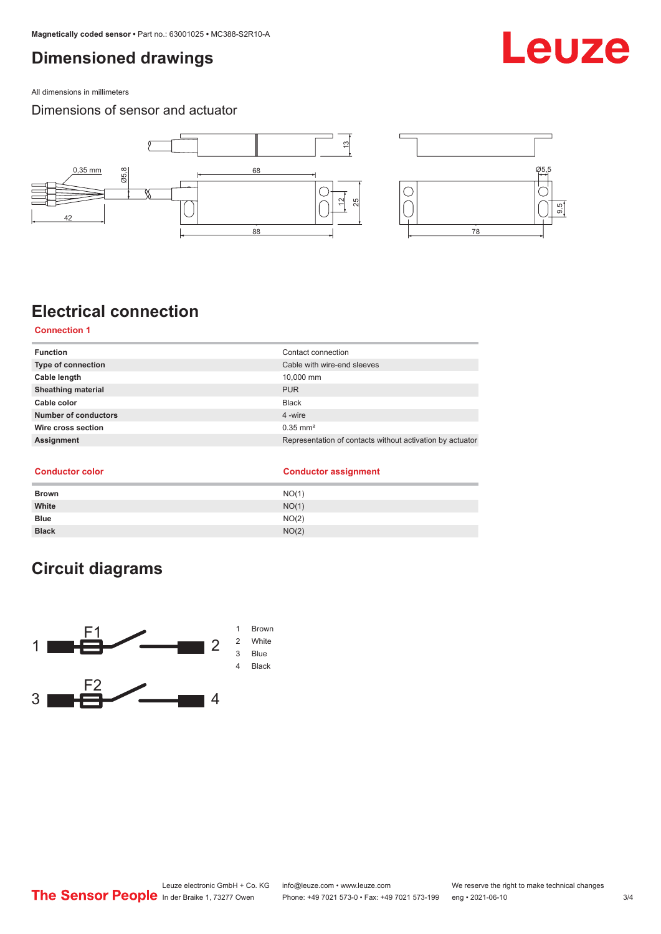## <span id="page-2-0"></span>**Dimensioned drawings**

All dimensions in millimeters

### Dimensions of sensor and actuator



## **Electrical connection**

**Connection 1**

| <b>Function</b>           | Contact connection                                        |
|---------------------------|-----------------------------------------------------------|
| <b>Type of connection</b> | Cable with wire-end sleeves                               |
| Cable length              | 10.000 mm                                                 |
| <b>Sheathing material</b> | <b>PUR</b>                                                |
| Cable color               | <b>Black</b>                                              |
| Number of conductors      | 4 -wire                                                   |
| Wire cross section        | $0.35$ mm <sup>2</sup>                                    |
| Assignment                | Representation of contacts without activation by actuator |
|                           |                                                           |

**Conductor color** 

| <b>Conductor assignment</b> |
|-----------------------------|
|                             |

| <b>Brown</b> | NO(1) |
|--------------|-------|
| White        | NO(1) |
| <b>Blue</b>  | NO(2) |
| <b>Black</b> | NO(2) |

## **Circuit diagrams**